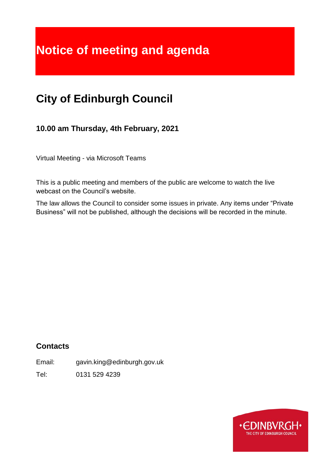# **Notice of meeting and agenda**

## **City of Edinburgh Council**

**10.00 am Thursday, 4th February, 2021**

Virtual Meeting - via Microsoft Teams

This is a public meeting and members of the public are welcome to watch the live webcast on the Council's website.

The law allows the Council to consider some issues in private. Any items under "Private Business" will not be published, although the decisions will be recorded in the minute.

## **Contacts**

Email: gavin.king@edinburgh.gov.uk

Tel: 0131 529 4239

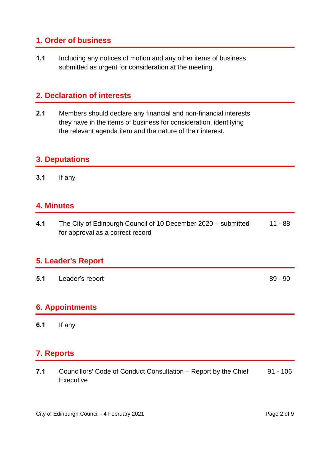## **1. Order of business**

**1.1** Including any notices of motion and any other items of business submitted as urgent for consideration at the meeting.

## **2. Declaration of interests**

**2.1** Members should declare any financial and non-financial interests they have in the items of business for consideration, identifying the relevant agenda item and the nature of their interest.

## **3. Deputations**

**3.1** If any

## **4. Minutes**

**4.1** The City of Edinburgh Council of 10 December 2020 – submitted for approval as a correct record 11 - 88

## **5. Leader's Report**

**5.1** Leader's report 89 - 90

## **6. Appointments**

**6.1** If any

## **7. Reports**

**7.1** Councillors' Code of Conduct Consultation – Report by the Chief **Executive** 91 - 106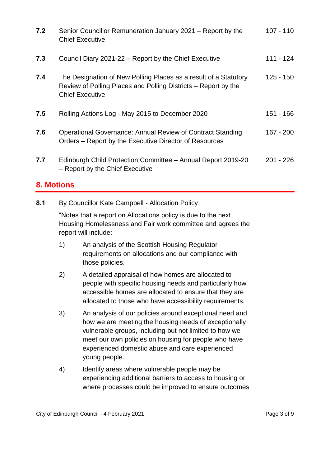| 7.2 | Senior Councillor Remuneration January 2021 – Report by the<br><b>Chief Executive</b>                                                                        | $107 - 110$ |
|-----|--------------------------------------------------------------------------------------------------------------------------------------------------------------|-------------|
| 7.3 | Council Diary 2021-22 - Report by the Chief Executive                                                                                                        | 111 - 124   |
| 7.4 | The Designation of New Polling Places as a result of a Statutory<br>Review of Polling Places and Polling Districts – Report by the<br><b>Chief Executive</b> | $125 - 150$ |
| 7.5 | Rolling Actions Log - May 2015 to December 2020                                                                                                              | $151 - 166$ |
| 7.6 | Operational Governance: Annual Review of Contract Standing<br>Orders – Report by the Executive Director of Resources                                         | $167 - 200$ |
| 7.7 | Edinburgh Child Protection Committee - Annual Report 2019-20<br>- Report by the Chief Executive                                                              | 201 - 226   |

## **8. Motions**

**8.1** By Councillor Kate Campbell - Allocation Policy

"Notes that a report on Allocations policy is due to the next Housing Homelessness and Fair work committee and agrees the report will include:

- 1) An analysis of the Scottish Housing Regulator requirements on allocations and our compliance with those policies.
- 2) A detailed appraisal of how homes are allocated to people with specific housing needs and particularly how accessible homes are allocated to ensure that they are allocated to those who have accessibility requirements.
- 3) An analysis of our policies around exceptional need and how we are meeting the housing needs of exceptionally vulnerable groups, including but not limited to how we meet our own policies on housing for people who have experienced domestic abuse and care experienced young people.
- 4) Identify areas where vulnerable people may be experiencing additional barriers to access to housing or where processes could be improved to ensure outcomes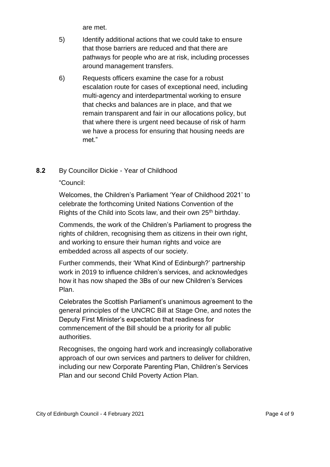are met.

- 5) Identify additional actions that we could take to ensure that those barriers are reduced and that there are pathways for people who are at risk, including processes around management transfers.
- 6) Requests officers examine the case for a robust escalation route for cases of exceptional need, including multi-agency and interdepartmental working to ensure that checks and balances are in place, and that we remain transparent and fair in our allocations policy, but that where there is urgent need because of risk of harm we have a process for ensuring that housing needs are met."

#### **8.2** By Councillor Dickie - Year of Childhood

#### "Council:

Welcomes, the Children's Parliament 'Year of Childhood 2021' to celebrate the forthcoming United Nations Convention of the Rights of the Child into Scots law, and their own 25<sup>th</sup> birthday.

Commends, the work of the Children's Parliament to progress the rights of children, recognising them as citizens in their own right, and working to ensure their human rights and voice are embedded across all aspects of our society.

Further commends, their 'What Kind of Edinburgh?' partnership work in 2019 to influence children's services, and acknowledges how it has now shaped the 3Bs of our new Children's Services Plan.

Celebrates the Scottish Parliament's unanimous agreement to the general principles of the UNCRC Bill at Stage One, and notes the Deputy First Minister's expectation that readiness for commencement of the Bill should be a priority for all public authorities.

Recognises, the ongoing hard work and increasingly collaborative approach of our own services and partners to deliver for children, including our new Corporate Parenting Plan, Children's Services Plan and our second Child Poverty Action Plan.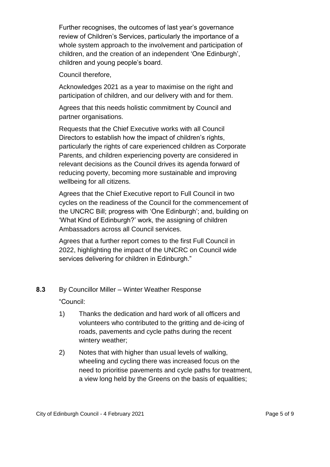Further recognises, the outcomes of last year's governance review of Children's Services, particularly the importance of a whole system approach to the involvement and participation of children, and the creation of an independent 'One Edinburgh', children and young people's board.

Council therefore,

Acknowledges 2021 as a year to maximise on the right and participation of children, and our delivery with and for them.

Agrees that this needs holistic commitment by Council and partner organisations.

Requests that the Chief Executive works with all Council Directors to establish how the impact of children's rights, particularly the rights of care experienced children as Corporate Parents, and children experiencing poverty are considered in relevant decisions as the Council drives its agenda forward of reducing poverty, becoming more sustainable and improving wellbeing for all citizens.

Agrees that the Chief Executive report to Full Council in two cycles on the readiness of the Council for the commencement of the UNCRC Bill; progress with 'One Edinburgh'; and, building on 'What Kind of Edinburgh?' work, the assigning of children Ambassadors across all Council services.

Agrees that a further report comes to the first Full Council in 2022, highlighting the impact of the UNCRC on Council wide services delivering for children in Edinburgh."

#### **8.3** By Councillor Miller – Winter Weather Response

"Council:

- 1) Thanks the dedication and hard work of all officers and volunteers who contributed to the gritting and de-icing of roads, pavements and cycle paths during the recent wintery weather;
- 2) Notes that with higher than usual levels of walking, wheeling and cycling there was increased focus on the need to prioritise pavements and cycle paths for treatment, a view long held by the Greens on the basis of equalities;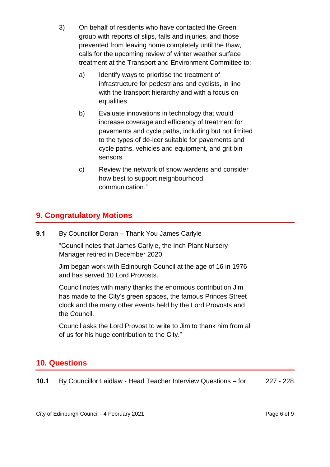- 3) On behalf of residents who have contacted the Green group with reports of slips, falls and injuries, and those prevented from leaving home completely until the thaw, calls for the upcoming review of winter weather surface treatment at the Transport and Environment Committee to:
	- a) Identify ways to prioritise the treatment of infrastructure for pedestrians and cyclists, in line with the transport hierarchy and with a focus on equalities
	- b) Evaluate innovations in technology that would increase coverage and efficiency of treatment for pavements and cycle paths, including but not limited to the types of de-icer suitable for pavements and cycle paths, vehicles and equipment, and grit bin sensors
	- c) Review the network of snow wardens and consider how best to support neighbourhood communication."

## **9. Congratulatory Motions**

**9.1** By Councillor Doran – Thank You James Carlyle

"Council notes that James Carlyle, the Inch Plant Nursery Manager retired in December 2020.

Jim began work with Edinburgh Council at the age of 16 in 1976 and has served 10 Lord Provosts.

Council notes with many thanks the enormous contribution Jim has made to the City's green spaces, the famous Princes Street clock and the many other events held by the Lord Provosts and the Council.

Council asks the Lord Provost to write to Jim to thank him from all of us for his huge contribution to the City."

## **10. Questions**

| 10.1 | By Councillor Laidlaw - Head Teacher Interview Questions – for | 227 - 228 |
|------|----------------------------------------------------------------|-----------|
|------|----------------------------------------------------------------|-----------|

City of Edinburgh Council - 4 February 2021 **Page 6 of 9** and 2021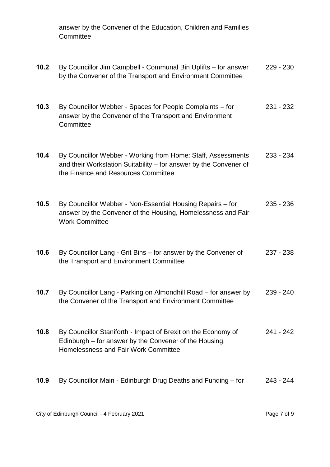answer by the Convener of the Education, Children and Families **Committee** 

| 10.2 | By Councillor Jim Campbell - Communal Bin Uplifts - for answer<br>by the Convener of the Transport and Environment Committee                                             | $229 - 230$ |
|------|--------------------------------------------------------------------------------------------------------------------------------------------------------------------------|-------------|
| 10.3 | By Councillor Webber - Spaces for People Complaints - for<br>answer by the Convener of the Transport and Environment<br>Committee                                        | 231 - 232   |
| 10.4 | By Councillor Webber - Working from Home: Staff, Assessments<br>and their Workstation Suitability - for answer by the Convener of<br>the Finance and Resources Committee | $233 - 234$ |
| 10.5 | By Councillor Webber - Non-Essential Housing Repairs – for<br>answer by the Convener of the Housing, Homelessness and Fair<br><b>Work Committee</b>                      | $235 - 236$ |
| 10.6 | By Councillor Lang - Grit Bins - for answer by the Convener of<br>the Transport and Environment Committee                                                                | $237 - 238$ |
| 10.7 | By Councillor Lang - Parking on Almondhill Road - for answer by<br>the Convener of the Transport and Environment Committee                                               | $239 - 240$ |
| 10.8 | By Councillor Staniforth - Impact of Brexit on the Economy of<br>Edinburgh – for answer by the Convener of the Housing,<br>Homelessness and Fair Work Committee          | $241 - 242$ |
| 10.9 | By Councillor Main - Edinburgh Drug Deaths and Funding - for                                                                                                             | 243 - 244   |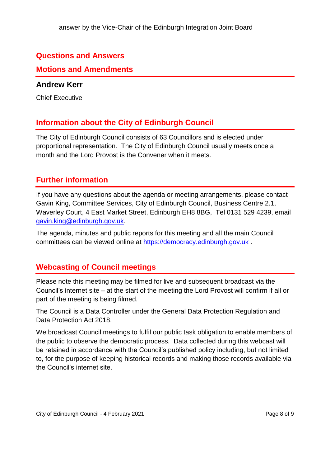## **Questions and Answers**

#### **Motions and Amendments**

#### **Andrew Kerr**

Chief Executive

## **Information about the City of Edinburgh Council**

The City of Edinburgh Council consists of 63 Councillors and is elected under proportional representation. The City of Edinburgh Council usually meets once a month and the Lord Provost is the Convener when it meets.

## **Further information**

If you have any questions about the agenda or meeting arrangements, please contact Gavin King, Committee Services, City of Edinburgh Council, Business Centre 2.1, Waverley Court, 4 East Market Street, Edinburgh EH8 8BG, Tel 0131 529 4239, email [gavin.king@edinburgh.gov.uk.](mailto:gavin.king@edinburgh.gov.uk)

The agenda, minutes and public reports for this meeting and all the main Council committees can be viewed online at [https://democracy.edinburgh.gov.uk](https://democracy.edinburgh.gov.uk/) .

## **Webcasting of Council meetings**

Please note this meeting may be filmed for live and subsequent broadcast via the Council's internet site – at the start of the meeting the Lord Provost will confirm if all or part of the meeting is being filmed.

The Council is a Data Controller under the General Data Protection Regulation and Data Protection Act 2018.

We broadcast Council meetings to fulfil our public task obligation to enable members of the public to observe the democratic process. Data collected during this webcast will be retained in accordance with the Council's published policy including, but not limited to, for the purpose of keeping historical records and making those records available via the Council's internet site.